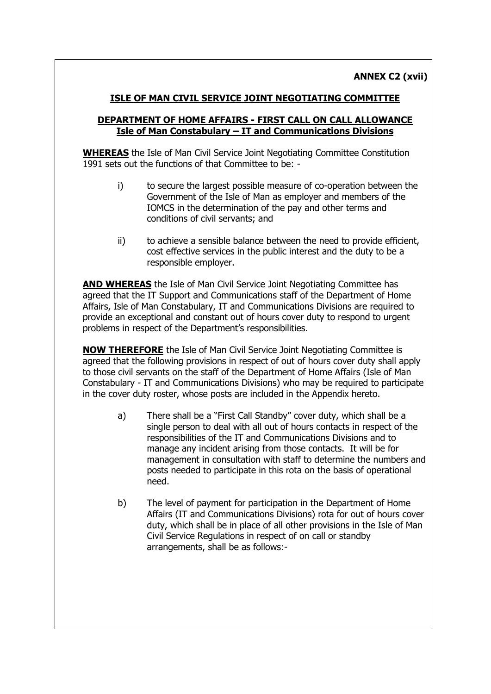## **ISLE OF MAN CIVIL SERVICE JOINT NEGOTIATING COMMITTEE**

## **DEPARTMENT OF HOME AFFAIRS - FIRST CALL ON CALL ALLOWANCE Isle of Man Constabulary – IT and Communications Divisions**

**WHEREAS** the Isle of Man Civil Service Joint Negotiating Committee Constitution 1991 sets out the functions of that Committee to be: -

- i) to secure the largest possible measure of co-operation between the Government of the Isle of Man as employer and members of the IOMCS in the determination of the pay and other terms and conditions of civil servants; and
- ii) to achieve a sensible balance between the need to provide efficient, cost effective services in the public interest and the duty to be a responsible employer.

**AND WHEREAS** the Isle of Man Civil Service Joint Negotiating Committee has agreed that the IT Support and Communications staff of the Department of Home Affairs, Isle of Man Constabulary, IT and Communications Divisions are required to provide an exceptional and constant out of hours cover duty to respond to urgent problems in respect of the Department's responsibilities.

**NOW THEREFORE** the Isle of Man Civil Service Joint Negotiating Committee is agreed that the following provisions in respect of out of hours cover duty shall apply to those civil servants on the staff of the Department of Home Affairs (Isle of Man Constabulary - IT and Communications Divisions) who may be required to participate in the cover duty roster, whose posts are included in the Appendix hereto.

- a) There shall be a "First Call Standby" cover duty, which shall be a single person to deal with all out of hours contacts in respect of the responsibilities of the IT and Communications Divisions and to manage any incident arising from those contacts. It will be for management in consultation with staff to determine the numbers and posts needed to participate in this rota on the basis of operational need.
- b) The level of payment for participation in the Department of Home Affairs (IT and Communications Divisions) rota for out of hours cover duty, which shall be in place of all other provisions in the Isle of Man Civil Service Regulations in respect of on call or standby arrangements, shall be as follows:-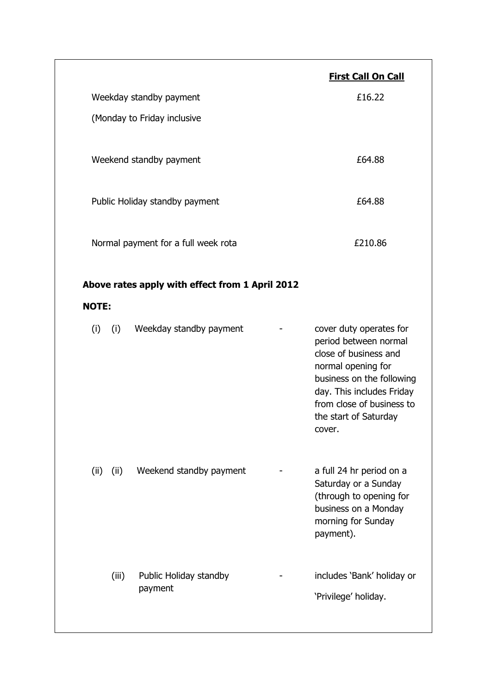|                                                 |       |                                   |  | <b>First Call On Call</b>                                                                                                                                                                                                 |
|-------------------------------------------------|-------|-----------------------------------|--|---------------------------------------------------------------------------------------------------------------------------------------------------------------------------------------------------------------------------|
| Weekday standby payment                         |       |                                   |  | £16.22                                                                                                                                                                                                                    |
| (Monday to Friday inclusive                     |       |                                   |  |                                                                                                                                                                                                                           |
| Weekend standby payment                         |       |                                   |  | £64.88                                                                                                                                                                                                                    |
| Public Holiday standby payment                  |       |                                   |  | £64.88                                                                                                                                                                                                                    |
| Normal payment for a full week rota             |       |                                   |  | £210.86                                                                                                                                                                                                                   |
| Above rates apply with effect from 1 April 2012 |       |                                   |  |                                                                                                                                                                                                                           |
| <b>NOTE:</b>                                    |       |                                   |  |                                                                                                                                                                                                                           |
| $(i)$ $(i)$                                     |       | Weekday standby payment           |  | cover duty operates for<br>period between normal<br>close of business and<br>normal opening for<br>business on the following<br>day. This includes Friday<br>from close of business to<br>the start of Saturday<br>cover. |
| (ii)                                            | (ii)  | Weekend standby payment           |  | a full 24 hr period on a<br>Saturday or a Sunday<br>(through to opening for<br>business on a Monday<br>morning for Sunday<br>payment).                                                                                    |
|                                                 | (iii) | Public Holiday standby<br>payment |  | includes 'Bank' holiday or<br>'Privilege' holiday.                                                                                                                                                                        |